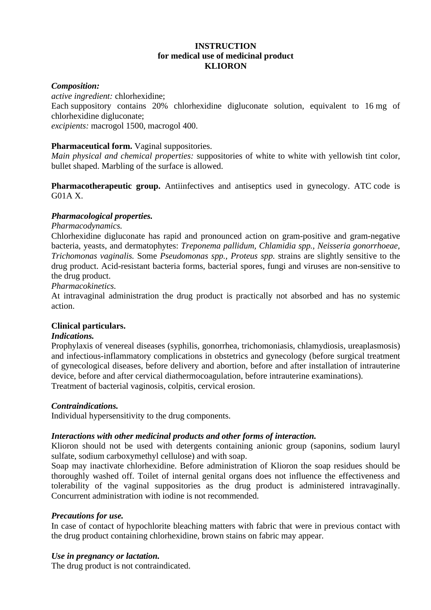# **INSTRUCTION for medical use of medicinal product KLIORON**

### *Composition:*

*active ingredient:* chlorhexidine;

Each suppository contains 20% chlorhexidine digluconate solution, equivalent to 16 mg of chlorhexidine digluconate;

*excipients:* macrogol 1500, macrogol 400.

## **Pharmaceutical form.** Vaginal suppositories.

*Main physical and chemical properties:* suppositories of white to white with yellowish tint color, bullet shaped. Marbling of the surface is allowed.

**Pharmacotherapeutic group.** Antiinfectives and antiseptics used in gynecology. ATC code is G01A X.

## *Pharmacological properties.*

## *Pharmacodynamics.*

Chlorhexidine digluconate has rapid and pronounced action on gram-positive and gram-negative bacteria, yeasts, and dermatophytes: *Treponema pallidum, Chlamidia spp., Neisseria gonorrhoeae, Trichomonas vaginalis.* Some *Pseudomonas spp., Proteus spp.* strains are slightly sensitive to the drug product. Acid-resistant bacteria forms, bacterial spores, fungi and viruses are non-sensitive to the drug product.

#### *Pharmacokinetics.*

At intravaginal administration the drug product is practically not absorbed and has no systemic action.

#### **Clinical particulars.**

#### *Indications.*

Prophylaxis of venereal diseases (syphilis, gonorrhea, trichomoniasis, chlamydiosis, ureaplasmosis) and infectious-inflammatory complications in obstetrics and gynecology (before surgical treatment of gynecological diseases, before delivery and abortion, before and after installation of intrauterine device, before and after cervical diathermocoagulation, before intrauterine examinations). Treatment of bacterial vaginosis, colpitis, cervical erosion.

#### *Contraindications.*

Individual hypersensitivity to the drug components.

#### *Interactions with other medicinal products and other forms of interaction.*

Klioron should not be used with detergents containing anionic group (saponins, sodium lauryl sulfate, sodium carboxymethyl cellulose) and with soap.

Soap may inactivate chlorhexidine. Before administration of Klioron the soap residues should be thoroughly washed off. Toilet of internal genital organs does not influence the effectiveness and tolerability of the vaginal suppositories as the drug product is administered intravaginally. Concurrent administration with iodine is not recommended.

#### *Precautions for use.*

In case of contact of hypochlorite bleaching matters with fabric that were in previous contact with the drug product containing chlorhexidine, brown stains on fabric may appear.

#### *Use in pregnancy or lactation.*

The drug product is not contraindicated.